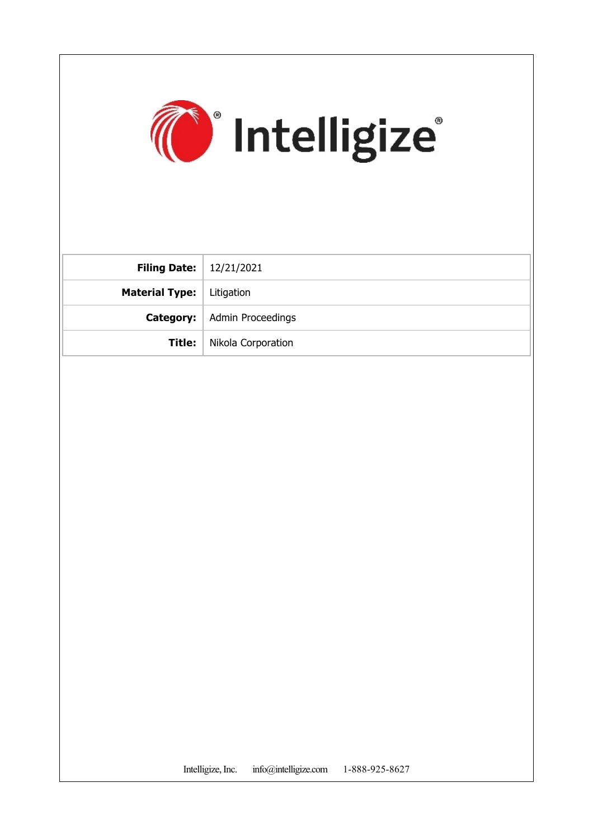

| <b>Filing Date:</b>   $12/21/2021$ |                                      |
|------------------------------------|--------------------------------------|
| <b>Material Type:</b>   Litigation |                                      |
|                                    | <b>Category:</b>   Admin Proceedings |
|                                    | <b>Title:</b>   Nikola Corporation   |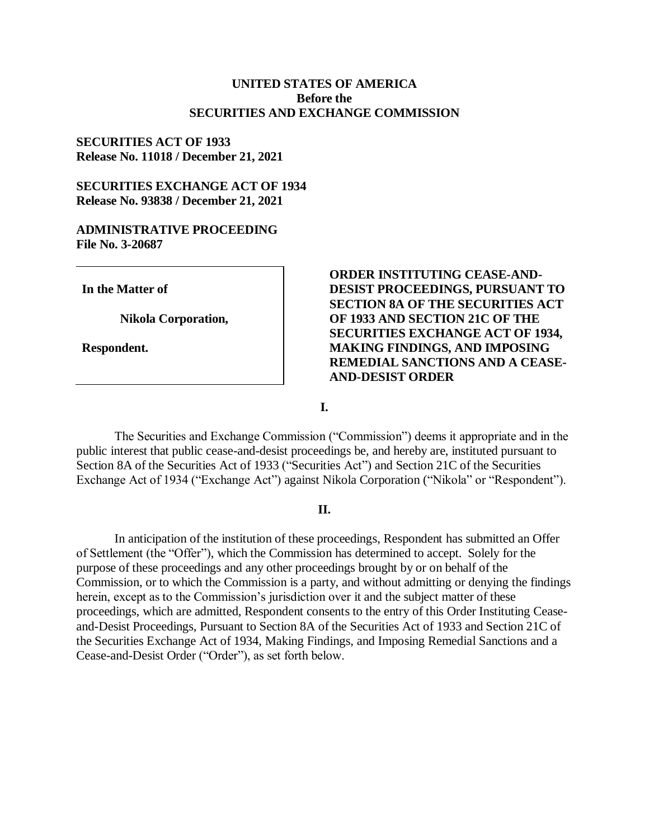#### **UNITED STATES OF AMERICA Before the SECURITIES AND EXCHANGE COMMISSION**

#### **SECURITIES ACT OF 1933 Release No. 11018 / December 21, 2021**

#### **SECURITIES EXCHANGE ACT OF 1934 Release No. 93838 / December 21, 2021**

#### **ADMINISTRATIVE PROCEEDING File No. 3-20687**

**In the Matter of**

**Nikola Corporation,**

**Respondent.**

## **ORDER INSTITUTING CEASE-AND-DESIST PROCEEDINGS, PURSUANT TO SECTION 8A OF THE SECURITIES ACT OF 1933 AND SECTION 21C OF THE SECURITIES EXCHANGE ACT OF 1934, MAKING FINDINGS, AND IMPOSING REMEDIAL SANCTIONS AND A CEASE-AND-DESIST ORDER**

**I.**

The Securities and Exchange Commission ("Commission") deems it appropriate and in the public interest that public cease-and-desist proceedings be, and hereby are, instituted pursuant to Section 8A of the Securities Act of 1933 ("Securities Act") and Section 21C of the Securities Exchange Act of 1934 ("Exchange Act") against Nikola Corporation ("Nikola" or "Respondent").

#### **II.**

In anticipation of the institution of these proceedings, Respondent has submitted an Offer of Settlement (the "Offer"), which the Commission has determined to accept. Solely for the purpose of these proceedings and any other proceedings brought by or on behalf of the Commission, or to which the Commission is a party, and without admitting or denying the findings herein, except as to the Commission's jurisdiction over it and the subject matter of these proceedings, which are admitted, Respondent consents to the entry of this Order Instituting Ceaseand-Desist Proceedings, Pursuant to Section 8A of the Securities Act of 1933 and Section 21C of the Securities Exchange Act of 1934, Making Findings, and Imposing Remedial Sanctions and a Cease-and-Desist Order ("Order"), as set forth below.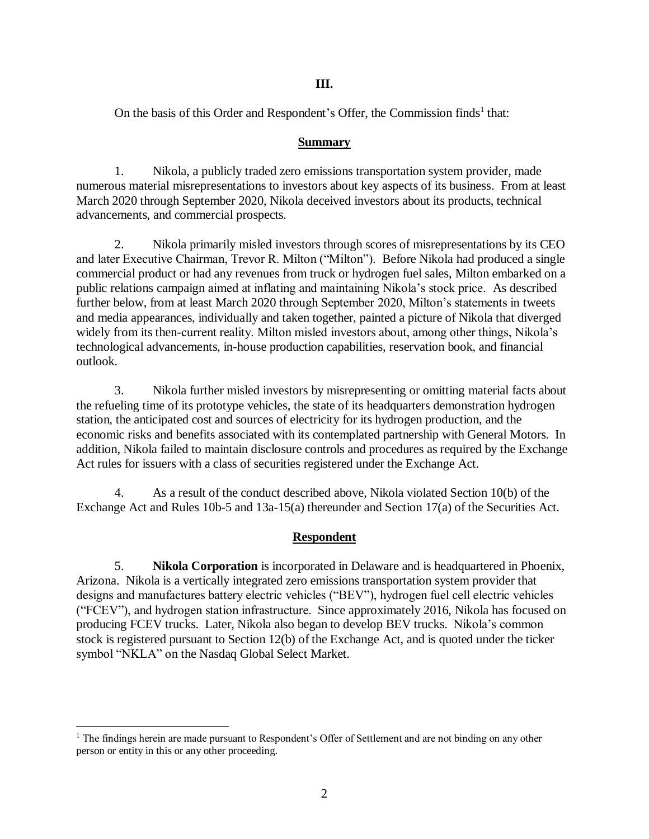## **III.**

On the basis of this Order and Respondent's Offer, the Commission finds<sup>1</sup> that:

## **Summary**

1. Nikola, a publicly traded zero emissions transportation system provider, made numerous material misrepresentations to investors about key aspects of its business. From at least March 2020 through September 2020, Nikola deceived investors about its products, technical advancements, and commercial prospects.

2. Nikola primarily misled investors through scores of misrepresentations by its CEO and later Executive Chairman, Trevor R. Milton ("Milton"). Before Nikola had produced a single commercial product or had any revenues from truck or hydrogen fuel sales, Milton embarked on a public relations campaign aimed at inflating and maintaining Nikola's stock price. As described further below, from at least March 2020 through September 2020, Milton's statements in tweets and media appearances, individually and taken together, painted a picture of Nikola that diverged widely from its then-current reality. Milton misled investors about, among other things, Nikola's technological advancements, in-house production capabilities, reservation book, and financial outlook.

3. Nikola further misled investors by misrepresenting or omitting material facts about the refueling time of its prototype vehicles, the state of its headquarters demonstration hydrogen station, the anticipated cost and sources of electricity for its hydrogen production, and the economic risks and benefits associated with its contemplated partnership with General Motors. In addition, Nikola failed to maintain disclosure controls and procedures as required by the Exchange Act rules for issuers with a class of securities registered under the Exchange Act.

4. As a result of the conduct described above, Nikola violated Section 10(b) of the Exchange Act and Rules 10b-5 and 13a-15(a) thereunder and Section 17(a) of the Securities Act.

# **Respondent**

5. **Nikola Corporation** is incorporated in Delaware and is headquartered in Phoenix, Arizona. Nikola is a vertically integrated zero emissions transportation system provider that designs and manufactures battery electric vehicles ("BEV"), hydrogen fuel cell electric vehicles ("FCEV"), and hydrogen station infrastructure. Since approximately 2016, Nikola has focused on producing FCEV trucks. Later, Nikola also began to develop BEV trucks. Nikola's common stock is registered pursuant to Section 12(b) of the Exchange Act, and is quoted under the ticker symbol "NKLA" on the Nasdaq Global Select Market.

 $\overline{a}$ 

<sup>&</sup>lt;sup>1</sup> The findings herein are made pursuant to Respondent's Offer of Settlement and are not binding on any other person or entity in this or any other proceeding.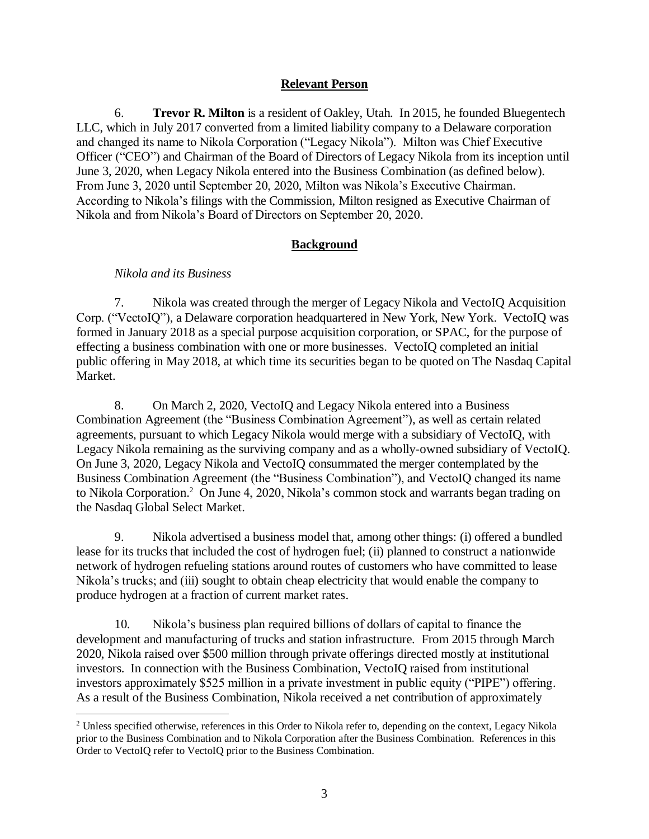## **Relevant Person**

6. **Trevor R. Milton** is a resident of Oakley, Utah. In 2015, he founded Bluegentech LLC, which in July 2017 converted from a limited liability company to a Delaware corporation and changed its name to Nikola Corporation ("Legacy Nikola"). Milton was Chief Executive Officer ("CEO") and Chairman of the Board of Directors of Legacy Nikola from its inception until June 3, 2020, when Legacy Nikola entered into the Business Combination (as defined below). From June 3, 2020 until September 20, 2020, Milton was Nikola's Executive Chairman. According to Nikola's filings with the Commission, Milton resigned as Executive Chairman of Nikola and from Nikola's Board of Directors on September 20, 2020.

# **Background**

## *Nikola and its Business*

7. Nikola was created through the merger of Legacy Nikola and VectoIQ Acquisition Corp. ("VectoIQ"), a Delaware corporation headquartered in New York, New York. VectoIQ was formed in January 2018 as a special purpose acquisition corporation, or SPAC, for the purpose of effecting a business combination with one or more businesses. VectoIQ completed an initial public offering in May 2018, at which time its securities began to be quoted on The Nasdaq Capital Market.

8. On March 2, 2020, VectoIQ and Legacy Nikola entered into a Business Combination Agreement (the "Business Combination Agreement"), as well as certain related agreements, pursuant to which Legacy Nikola would merge with a subsidiary of VectoIQ, with Legacy Nikola remaining as the surviving company and as a wholly-owned subsidiary of VectoIQ. On June 3, 2020, Legacy Nikola and VectoIQ consummated the merger contemplated by the Business Combination Agreement (the "Business Combination"), and VectoIQ changed its name to Nikola Corporation. <sup>2</sup> On June 4, 2020, Nikola's common stock and warrants began trading on the Nasdaq Global Select Market.

9. Nikola advertised a business model that, among other things: (i) offered a bundled lease for its trucks that included the cost of hydrogen fuel; (ii) planned to construct a nationwide network of hydrogen refueling stations around routes of customers who have committed to lease Nikola's trucks; and (iii) sought to obtain cheap electricity that would enable the company to produce hydrogen at a fraction of current market rates.

10. Nikola's business plan required billions of dollars of capital to finance the development and manufacturing of trucks and station infrastructure. From 2015 through March 2020, Nikola raised over \$500 million through private offerings directed mostly at institutional investors. In connection with the Business Combination, VectoIQ raised from institutional investors approximately \$525 million in a private investment in public equity ("PIPE") offering. As a result of the Business Combination, Nikola received a net contribution of approximately

 $\overline{a}$ <sup>2</sup> Unless specified otherwise, references in this Order to Nikola refer to, depending on the context, Legacy Nikola prior to the Business Combination and to Nikola Corporation after the Business Combination. References in this Order to VectoIQ refer to VectoIQ prior to the Business Combination.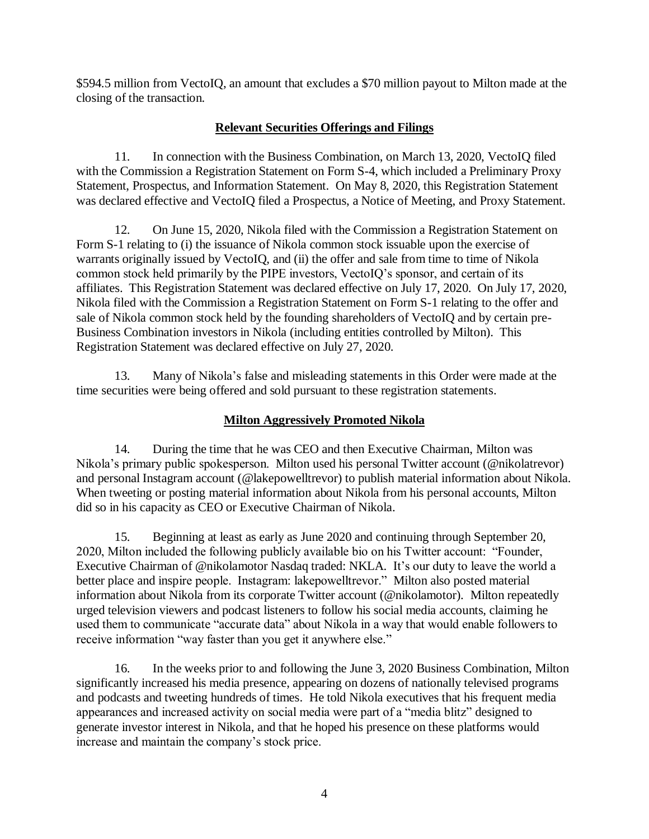\$594.5 million from VectoIQ, an amount that excludes a \$70 million payout to Milton made at the closing of the transaction.

# **Relevant Securities Offerings and Filings**

11. In connection with the Business Combination, on March 13, 2020, VectoIQ filed with the Commission a Registration Statement on Form S-4, which included a Preliminary Proxy Statement, Prospectus, and Information Statement. On May 8, 2020, this Registration Statement was declared effective and VectoIQ filed a Prospectus, a Notice of Meeting, and Proxy Statement.

12. On June 15, 2020, Nikola filed with the Commission a Registration Statement on Form S-1 relating to (i) the issuance of Nikola common stock issuable upon the exercise of warrants originally issued by VectoIO, and (ii) the offer and sale from time to time of Nikola common stock held primarily by the PIPE investors, VectoIQ's sponsor, and certain of its affiliates. This Registration Statement was declared effective on July 17, 2020. On July 17, 2020, Nikola filed with the Commission a Registration Statement on Form S-1 relating to the offer and sale of Nikola common stock held by the founding shareholders of VectoIQ and by certain pre-Business Combination investors in Nikola (including entities controlled by Milton). This Registration Statement was declared effective on July 27, 2020.

13. Many of Nikola's false and misleading statements in this Order were made at the time securities were being offered and sold pursuant to these registration statements.

# **Milton Aggressively Promoted Nikola**

14. During the time that he was CEO and then Executive Chairman, Milton was Nikola's primary public spokesperson. Milton used his personal Twitter account (@nikolatrevor) and personal Instagram account (@lakepowelltrevor) to publish material information about Nikola. When tweeting or posting material information about Nikola from his personal accounts, Milton did so in his capacity as CEO or Executive Chairman of Nikola.

15. Beginning at least as early as June 2020 and continuing through September 20, 2020, Milton included the following publicly available bio on his Twitter account: "Founder, Executive Chairman of @nikolamotor Nasdaq traded: NKLA. It's our duty to leave the world a better place and inspire people. Instagram: lakepowelltrevor." Milton also posted material information about Nikola from its corporate Twitter account (@nikolamotor). Milton repeatedly urged television viewers and podcast listeners to follow his social media accounts, claiming he used them to communicate "accurate data" about Nikola in a way that would enable followers to receive information "way faster than you get it anywhere else."

16. In the weeks prior to and following the June 3, 2020 Business Combination, Milton significantly increased his media presence, appearing on dozens of nationally televised programs and podcasts and tweeting hundreds of times. He told Nikola executives that his frequent media appearances and increased activity on social media were part of a "media blitz" designed to generate investor interest in Nikola, and that he hoped his presence on these platforms would increase and maintain the company's stock price.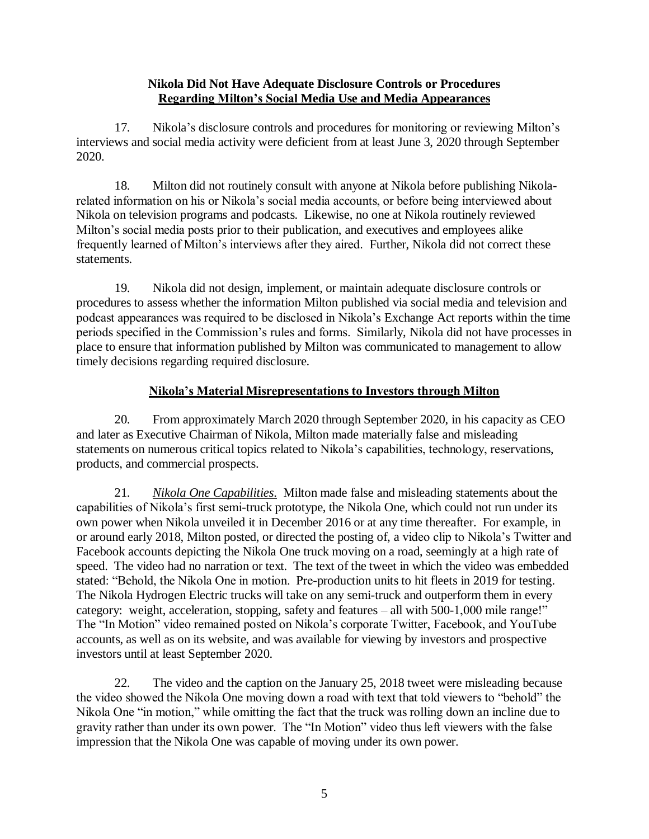## **Nikola Did Not Have Adequate Disclosure Controls or Procedures Regarding Milton's Social Media Use and Media Appearances**

17. Nikola's disclosure controls and procedures for monitoring or reviewing Milton's interviews and social media activity were deficient from at least June 3, 2020 through September 2020.

18. Milton did not routinely consult with anyone at Nikola before publishing Nikolarelated information on his or Nikola's social media accounts, or before being interviewed about Nikola on television programs and podcasts. Likewise, no one at Nikola routinely reviewed Milton's social media posts prior to their publication, and executives and employees alike frequently learned of Milton's interviews after they aired. Further, Nikola did not correct these statements.

19. Nikola did not design, implement, or maintain adequate disclosure controls or procedures to assess whether the information Milton published via social media and television and podcast appearances was required to be disclosed in Nikola's Exchange Act reports within the time periods specified in the Commission's rules and forms. Similarly, Nikola did not have processes in place to ensure that information published by Milton was communicated to management to allow timely decisions regarding required disclosure.

# **Nikola's Material Misrepresentations to Investors through Milton**

20. From approximately March 2020 through September 2020, in his capacity as CEO and later as Executive Chairman of Nikola, Milton made materially false and misleading statements on numerous critical topics related to Nikola's capabilities, technology, reservations, products, and commercial prospects.

21. *Nikola One Capabilities*. Milton made false and misleading statements about the capabilities of Nikola's first semi-truck prototype, the Nikola One, which could not run under its own power when Nikola unveiled it in December 2016 or at any time thereafter. For example, in or around early 2018, Milton posted, or directed the posting of, a video clip to Nikola's Twitter and Facebook accounts depicting the Nikola One truck moving on a road, seemingly at a high rate of speed. The video had no narration or text. The text of the tweet in which the video was embedded stated: "Behold, the Nikola One in motion. Pre-production units to hit fleets in 2019 for testing. The Nikola Hydrogen Electric trucks will take on any semi-truck and outperform them in every category: weight, acceleration, stopping, safety and features – all with 500-1,000 mile range!" The "In Motion" video remained posted on Nikola's corporate Twitter, Facebook, and YouTube accounts, as well as on its website, and was available for viewing by investors and prospective investors until at least September 2020.

22. The video and the caption on the January 25, 2018 tweet were misleading because the video showed the Nikola One moving down a road with text that told viewers to "behold" the Nikola One "in motion," while omitting the fact that the truck was rolling down an incline due to gravity rather than under its own power. The "In Motion" video thus left viewers with the false impression that the Nikola One was capable of moving under its own power.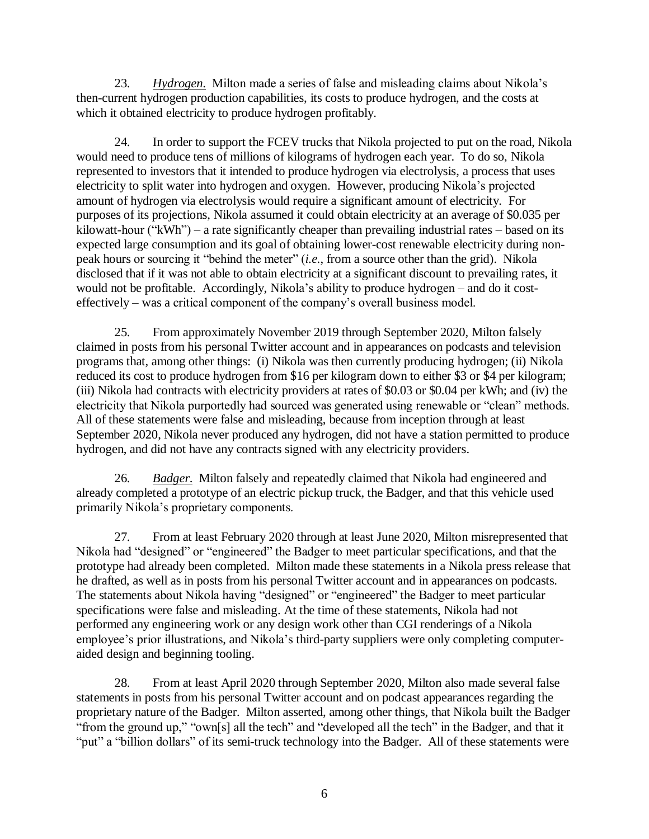23. *Hydrogen*. Milton made a series of false and misleading claims about Nikola's then-current hydrogen production capabilities, its costs to produce hydrogen, and the costs at which it obtained electricity to produce hydrogen profitably.

24. In order to support the FCEV trucks that Nikola projected to put on the road, Nikola would need to produce tens of millions of kilograms of hydrogen each year. To do so, Nikola represented to investors that it intended to produce hydrogen via electrolysis, a process that uses electricity to split water into hydrogen and oxygen. However, producing Nikola's projected amount of hydrogen via electrolysis would require a significant amount of electricity. For purposes of its projections, Nikola assumed it could obtain electricity at an average of \$0.035 per kilowatt-hour ("kWh") – a rate significantly cheaper than prevailing industrial rates – based on its expected large consumption and its goal of obtaining lower-cost renewable electricity during nonpeak hours or sourcing it "behind the meter" (*i.e.*, from a source other than the grid). Nikola disclosed that if it was not able to obtain electricity at a significant discount to prevailing rates, it would not be profitable. Accordingly, Nikola's ability to produce hydrogen – and do it costeffectively – was a critical component of the company's overall business model.

25. From approximately November 2019 through September 2020, Milton falsely claimed in posts from his personal Twitter account and in appearances on podcasts and television programs that, among other things: (i) Nikola was then currently producing hydrogen; (ii) Nikola reduced its cost to produce hydrogen from \$16 per kilogram down to either \$3 or \$4 per kilogram; (iii) Nikola had contracts with electricity providers at rates of \$0.03 or \$0.04 per kWh; and (iv) the electricity that Nikola purportedly had sourced was generated using renewable or "clean" methods. All of these statements were false and misleading, because from inception through at least September 2020, Nikola never produced any hydrogen, did not have a station permitted to produce hydrogen, and did not have any contracts signed with any electricity providers.

26. *Badger*. Milton falsely and repeatedly claimed that Nikola had engineered and already completed a prototype of an electric pickup truck, the Badger, and that this vehicle used primarily Nikola's proprietary components.

27. From at least February 2020 through at least June 2020, Milton misrepresented that Nikola had "designed" or "engineered" the Badger to meet particular specifications, and that the prototype had already been completed. Milton made these statements in a Nikola press release that he drafted, as well as in posts from his personal Twitter account and in appearances on podcasts. The statements about Nikola having "designed" or "engineered" the Badger to meet particular specifications were false and misleading. At the time of these statements, Nikola had not performed any engineering work or any design work other than CGI renderings of a Nikola employee's prior illustrations, and Nikola's third-party suppliers were only completing computeraided design and beginning tooling.

28. From at least April 2020 through September 2020, Milton also made several false statements in posts from his personal Twitter account and on podcast appearances regarding the proprietary nature of the Badger. Milton asserted, among other things, that Nikola built the Badger "from the ground up," "own[s] all the tech" and "developed all the tech" in the Badger, and that it "put" a "billion dollars" of its semi-truck technology into the Badger. All of these statements were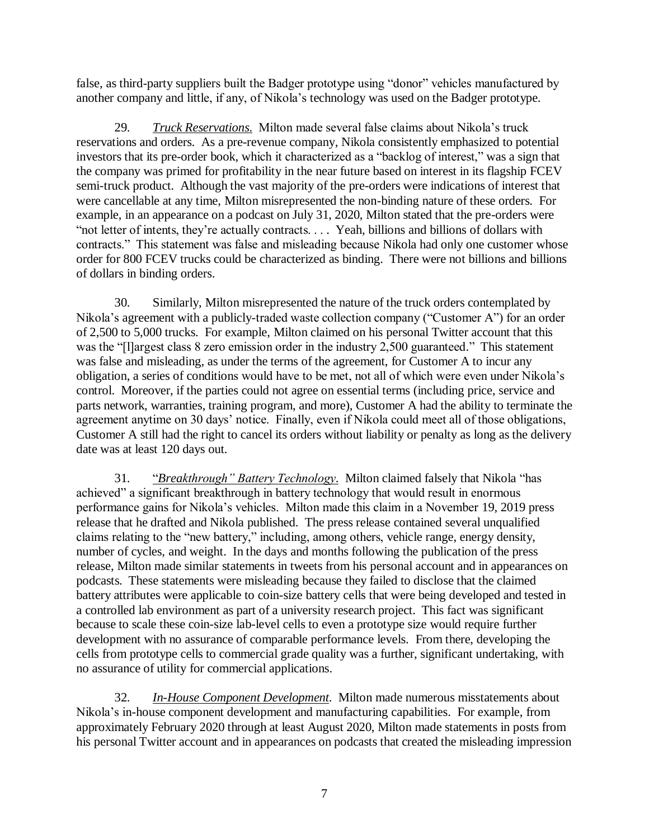false, as third-party suppliers built the Badger prototype using "donor" vehicles manufactured by another company and little, if any, of Nikola's technology was used on the Badger prototype.

29. *Truck Reservations*. Milton made several false claims about Nikola's truck reservations and orders. As a pre-revenue company, Nikola consistently emphasized to potential investors that its pre-order book, which it characterized as a "backlog of interest," was a sign that the company was primed for profitability in the near future based on interest in its flagship FCEV semi-truck product. Although the vast majority of the pre-orders were indications of interest that were cancellable at any time, Milton misrepresented the non-binding nature of these orders. For example, in an appearance on a podcast on July 31, 2020, Milton stated that the pre-orders were "not letter of intents, they're actually contracts. . . . Yeah, billions and billions of dollars with contracts." This statement was false and misleading because Nikola had only one customer whose order for 800 FCEV trucks could be characterized as binding. There were not billions and billions of dollars in binding orders.

30. Similarly, Milton misrepresented the nature of the truck orders contemplated by Nikola's agreement with a publicly-traded waste collection company ("Customer A") for an order of 2,500 to 5,000 trucks. For example, Milton claimed on his personal Twitter account that this was the "[l]argest class 8 zero emission order in the industry 2,500 guaranteed." This statement was false and misleading, as under the terms of the agreement, for Customer A to incur any obligation, a series of conditions would have to be met, not all of which were even under Nikola's control. Moreover, if the parties could not agree on essential terms (including price, service and parts network, warranties, training program, and more), Customer A had the ability to terminate the agreement anytime on 30 days' notice. Finally, even if Nikola could meet all of those obligations, Customer A still had the right to cancel its orders without liability or penalty as long as the delivery date was at least 120 days out.

31. "*Breakthrough" Battery Technology*. Milton claimed falsely that Nikola "has achieved" a significant breakthrough in battery technology that would result in enormous performance gains for Nikola's vehicles. Milton made this claim in a November 19, 2019 press release that he drafted and Nikola published. The press release contained several unqualified claims relating to the "new battery," including, among others, vehicle range, energy density, number of cycles, and weight. In the days and months following the publication of the press release, Milton made similar statements in tweets from his personal account and in appearances on podcasts. These statements were misleading because they failed to disclose that the claimed battery attributes were applicable to coin-size battery cells that were being developed and tested in a controlled lab environment as part of a university research project. This fact was significant because to scale these coin-size lab-level cells to even a prototype size would require further development with no assurance of comparable performance levels. From there, developing the cells from prototype cells to commercial grade quality was a further, significant undertaking, with no assurance of utility for commercial applications.

32. *In-House Component Development*. Milton made numerous misstatements about Nikola's in-house component development and manufacturing capabilities. For example, from approximately February 2020 through at least August 2020, Milton made statements in posts from his personal Twitter account and in appearances on podcasts that created the misleading impression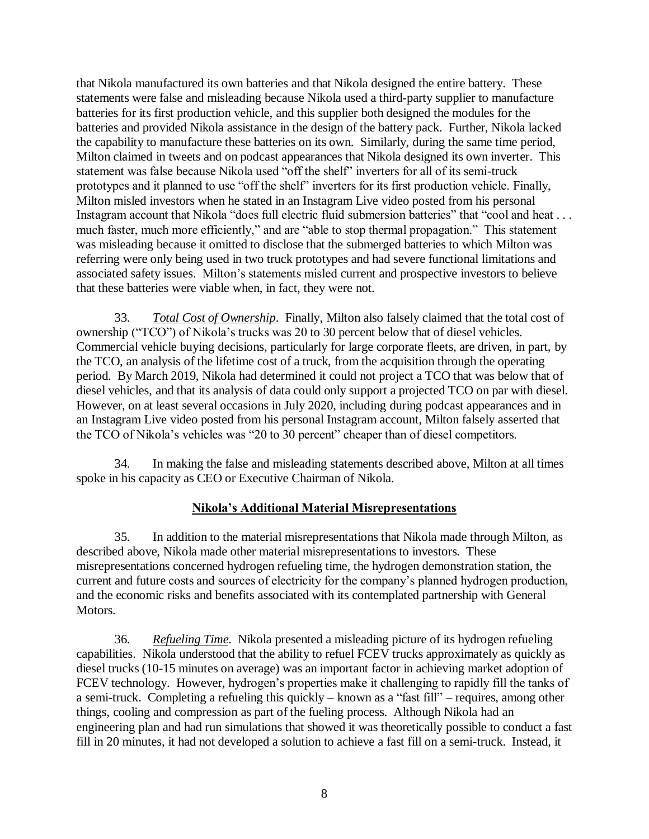that Nikola manufactured its own batteries and that Nikola designed the entire battery. These statements were false and misleading because Nikola used a third-party supplier to manufacture batteries for its first production vehicle, and this supplier both designed the modules for the batteries and provided Nikola assistance in the design of the battery pack. Further, Nikola lacked the capability to manufacture these batteries on its own. Similarly, during the same time period, Milton claimed in tweets and on podcast appearances that Nikola designed its own inverter. This statement was false because Nikola used "off the shelf" inverters for all of its semi-truck prototypes and it planned to use "off the shelf" inverters for its first production vehicle. Finally, Milton misled investors when he stated in an Instagram Live video posted from his personal Instagram account that Nikola "does full electric fluid submersion batteries" that "cool and heat . . . much faster, much more efficiently," and are "able to stop thermal propagation." This statement was misleading because it omitted to disclose that the submerged batteries to which Milton was referring were only being used in two truck prototypes and had severe functional limitations and associated safety issues. Milton's statements misled current and prospective investors to believe that these batteries were viable when, in fact, they were not.

33. *Total Cost of Ownership*. Finally, Milton also falsely claimed that the total cost of ownership ("TCO") of Nikola's trucks was 20 to 30 percent below that of diesel vehicles. Commercial vehicle buying decisions, particularly for large corporate fleets, are driven, in part, by the TCO, an analysis of the lifetime cost of a truck, from the acquisition through the operating period. By March 2019, Nikola had determined it could not project a TCO that was below that of diesel vehicles, and that its analysis of data could only support a projected TCO on par with diesel. However, on at least several occasions in July 2020, including during podcast appearances and in an Instagram Live video posted from his personal Instagram account, Milton falsely asserted that the TCO of Nikola's vehicles was "20 to 30 percent" cheaper than of diesel competitors.

34. In making the false and misleading statements described above, Milton at all times spoke in his capacity as CEO or Executive Chairman of Nikola.

# **Nikola's Additional Material Misrepresentations**

35. In addition to the material misrepresentations that Nikola made through Milton, as described above, Nikola made other material misrepresentations to investors. These misrepresentations concerned hydrogen refueling time, the hydrogen demonstration station, the current and future costs and sources of electricity for the company's planned hydrogen production, and the economic risks and benefits associated with its contemplated partnership with General Motors.

36. *Refueling Time*. Nikola presented a misleading picture of its hydrogen refueling capabilities. Nikola understood that the ability to refuel FCEV trucks approximately as quickly as diesel trucks (10-15 minutes on average) was an important factor in achieving market adoption of FCEV technology. However, hydrogen's properties make it challenging to rapidly fill the tanks of a semi-truck. Completing a refueling this quickly – known as a "fast fill" – requires, among other things, cooling and compression as part of the fueling process. Although Nikola had an engineering plan and had run simulations that showed it was theoretically possible to conduct a fast fill in 20 minutes, it had not developed a solution to achieve a fast fill on a semi-truck. Instead, it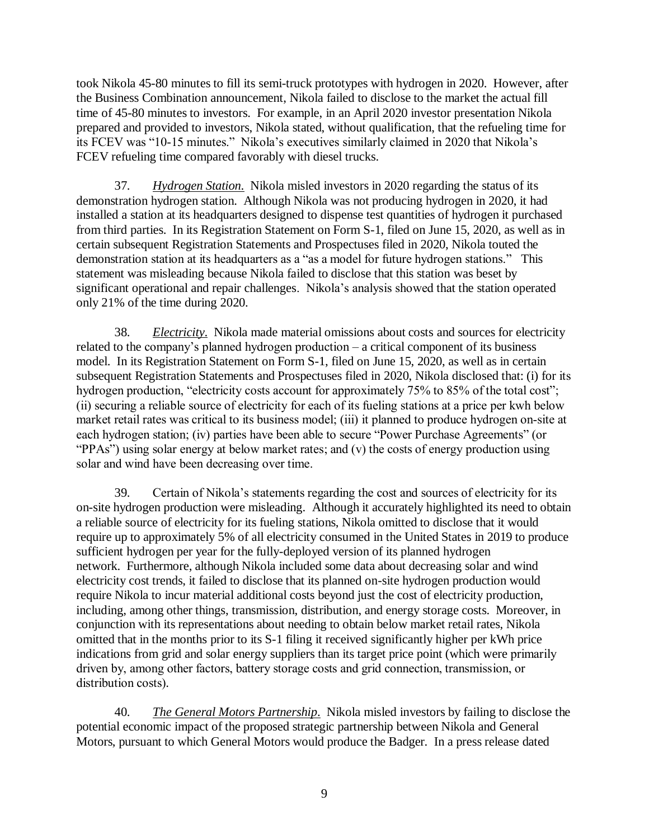took Nikola 45-80 minutes to fill its semi-truck prototypes with hydrogen in 2020. However, after the Business Combination announcement, Nikola failed to disclose to the market the actual fill time of 45-80 minutes to investors. For example, in an April 2020 investor presentation Nikola prepared and provided to investors, Nikola stated, without qualification, that the refueling time for its FCEV was "10-15 minutes." Nikola's executives similarly claimed in 2020 that Nikola's FCEV refueling time compared favorably with diesel trucks.

37. *Hydrogen Station*. Nikola misled investors in 2020 regarding the status of its demonstration hydrogen station. Although Nikola was not producing hydrogen in 2020, it had installed a station at its headquarters designed to dispense test quantities of hydrogen it purchased from third parties. In its Registration Statement on Form S-1, filed on June 15, 2020, as well as in certain subsequent Registration Statements and Prospectuses filed in 2020, Nikola touted the demonstration station at its headquarters as a "as a model for future hydrogen stations." This statement was misleading because Nikola failed to disclose that this station was beset by significant operational and repair challenges. Nikola's analysis showed that the station operated only 21% of the time during 2020.

38. *Electricity*. Nikola made material omissions about costs and sources for electricity related to the company's planned hydrogen production – a critical component of its business model. In its Registration Statement on Form S-1, filed on June 15, 2020, as well as in certain subsequent Registration Statements and Prospectuses filed in 2020, Nikola disclosed that: (i) for its hydrogen production, "electricity costs account for approximately 75% to 85% of the total cost"; (ii) securing a reliable source of electricity for each of its fueling stations at a price per kwh below market retail rates was critical to its business model; (iii) it planned to produce hydrogen on-site at each hydrogen station; (iv) parties have been able to secure "Power Purchase Agreements" (or "PPAs") using solar energy at below market rates; and (v) the costs of energy production using solar and wind have been decreasing over time.

39. Certain of Nikola's statements regarding the cost and sources of electricity for its on-site hydrogen production were misleading. Although it accurately highlighted its need to obtain a reliable source of electricity for its fueling stations, Nikola omitted to disclose that it would require up to approximately 5% of all electricity consumed in the United States in 2019 to produce sufficient hydrogen per year for the fully-deployed version of its planned hydrogen network. Furthermore, although Nikola included some data about decreasing solar and wind electricity cost trends, it failed to disclose that its planned on-site hydrogen production would require Nikola to incur material additional costs beyond just the cost of electricity production, including, among other things, transmission, distribution, and energy storage costs. Moreover, in conjunction with its representations about needing to obtain below market retail rates, Nikola omitted that in the months prior to its S-1 filing it received significantly higher per kWh price indications from grid and solar energy suppliers than its target price point (which were primarily driven by, among other factors, battery storage costs and grid connection, transmission, or distribution costs).

40. *The General Motors Partnership*. Nikola misled investors by failing to disclose the potential economic impact of the proposed strategic partnership between Nikola and General Motors, pursuant to which General Motors would produce the Badger. In a press release dated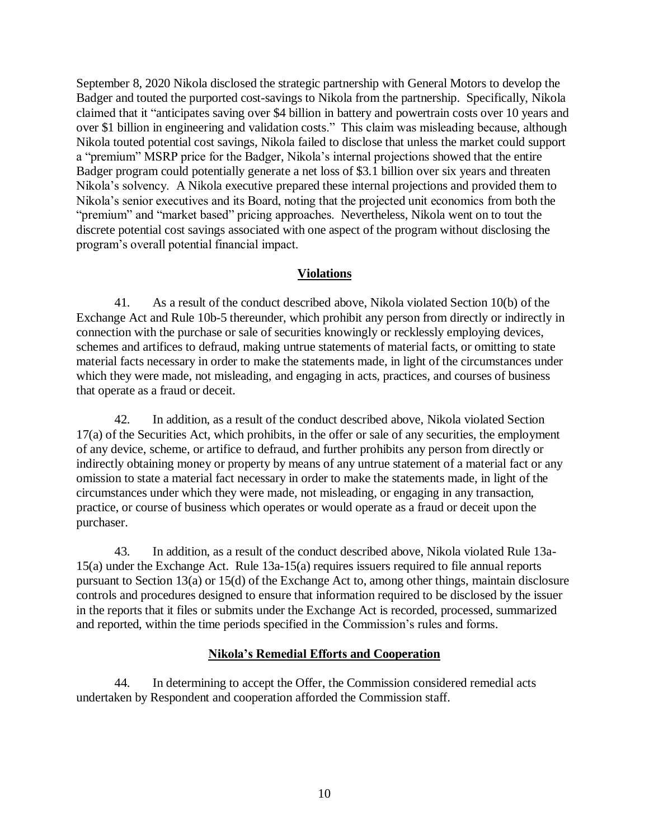September 8, 2020 Nikola disclosed the strategic partnership with General Motors to develop the Badger and touted the purported cost-savings to Nikola from the partnership. Specifically, Nikola claimed that it "anticipates saving over \$4 billion in battery and powertrain costs over 10 years and over \$1 billion in engineering and validation costs." This claim was misleading because, although Nikola touted potential cost savings, Nikola failed to disclose that unless the market could support a "premium" MSRP price for the Badger, Nikola's internal projections showed that the entire Badger program could potentially generate a net loss of \$3.1 billion over six years and threaten Nikola's solvency. A Nikola executive prepared these internal projections and provided them to Nikola's senior executives and its Board, noting that the projected unit economics from both the "premium" and "market based" pricing approaches. Nevertheless, Nikola went on to tout the discrete potential cost savings associated with one aspect of the program without disclosing the program's overall potential financial impact.

# **Violations**

41. As a result of the conduct described above, Nikola violated Section 10(b) of the Exchange Act and Rule 10b-5 thereunder, which prohibit any person from directly or indirectly in connection with the purchase or sale of securities knowingly or recklessly employing devices, schemes and artifices to defraud, making untrue statements of material facts, or omitting to state material facts necessary in order to make the statements made, in light of the circumstances under which they were made, not misleading, and engaging in acts, practices, and courses of business that operate as a fraud or deceit.

42. In addition, as a result of the conduct described above, Nikola violated Section 17(a) of the Securities Act, which prohibits, in the offer or sale of any securities, the employment of any device, scheme, or artifice to defraud, and further prohibits any person from directly or indirectly obtaining money or property by means of any untrue statement of a material fact or any omission to state a material fact necessary in order to make the statements made, in light of the circumstances under which they were made, not misleading, or engaging in any transaction, practice, or course of business which operates or would operate as a fraud or deceit upon the purchaser.

43. In addition, as a result of the conduct described above, Nikola violated Rule 13a-15(a) under the Exchange Act. Rule 13a-15(a) requires issuers required to file annual reports pursuant to Section 13(a) or 15(d) of the Exchange Act to, among other things, maintain disclosure controls and procedures designed to ensure that information required to be disclosed by the issuer in the reports that it files or submits under the Exchange Act is recorded, processed, summarized and reported, within the time periods specified in the Commission's rules and forms.

# **Nikola's Remedial Efforts and Cooperation**

44. In determining to accept the Offer, the Commission considered remedial acts undertaken by Respondent and cooperation afforded the Commission staff.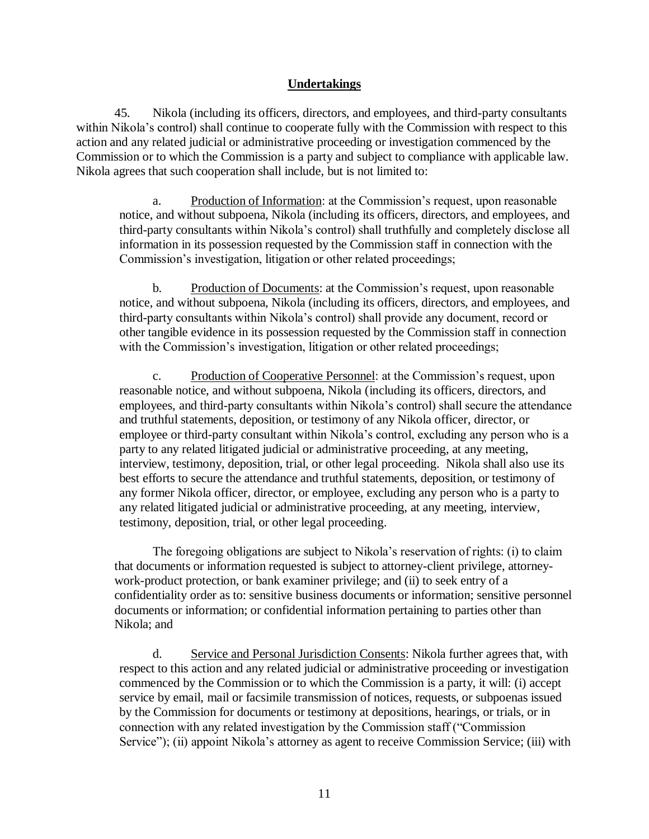## **Undertakings**

45. Nikola (including its officers, directors, and employees, and third-party consultants within Nikola's control) shall continue to cooperate fully with the Commission with respect to this action and any related judicial or administrative proceeding or investigation commenced by the Commission or to which the Commission is a party and subject to compliance with applicable law. Nikola agrees that such cooperation shall include, but is not limited to:

a. Production of Information: at the Commission's request, upon reasonable notice, and without subpoena, Nikola (including its officers, directors, and employees, and third-party consultants within Nikola's control) shall truthfully and completely disclose all information in its possession requested by the Commission staff in connection with the Commission's investigation, litigation or other related proceedings;

b. Production of Documents: at the Commission's request, upon reasonable notice, and without subpoena, Nikola (including its officers, directors, and employees, and third-party consultants within Nikola's control) shall provide any document, record or other tangible evidence in its possession requested by the Commission staff in connection with the Commission's investigation, litigation or other related proceedings;

c. Production of Cooperative Personnel: at the Commission's request, upon reasonable notice, and without subpoena, Nikola (including its officers, directors, and employees, and third-party consultants within Nikola's control) shall secure the attendance and truthful statements, deposition, or testimony of any Nikola officer, director, or employee or third-party consultant within Nikola's control, excluding any person who is a party to any related litigated judicial or administrative proceeding, at any meeting, interview, testimony, deposition, trial, or other legal proceeding. Nikola shall also use its best efforts to secure the attendance and truthful statements, deposition, or testimony of any former Nikola officer, director, or employee, excluding any person who is a party to any related litigated judicial or administrative proceeding, at any meeting, interview, testimony, deposition, trial, or other legal proceeding.

The foregoing obligations are subject to Nikola's reservation of rights: (i) to claim that documents or information requested is subject to attorney-client privilege, attorneywork-product protection, or bank examiner privilege; and (ii) to seek entry of a confidentiality order as to: sensitive business documents or information; sensitive personnel documents or information; or confidential information pertaining to parties other than Nikola; and

d. Service and Personal Jurisdiction Consents: Nikola further agrees that, with respect to this action and any related judicial or administrative proceeding or investigation commenced by the Commission or to which the Commission is a party, it will: (i) accept service by email, mail or facsimile transmission of notices, requests, or subpoenas issued by the Commission for documents or testimony at depositions, hearings, or trials, or in connection with any related investigation by the Commission staff ("Commission Service"); (ii) appoint Nikola's attorney as agent to receive Commission Service; (iii) with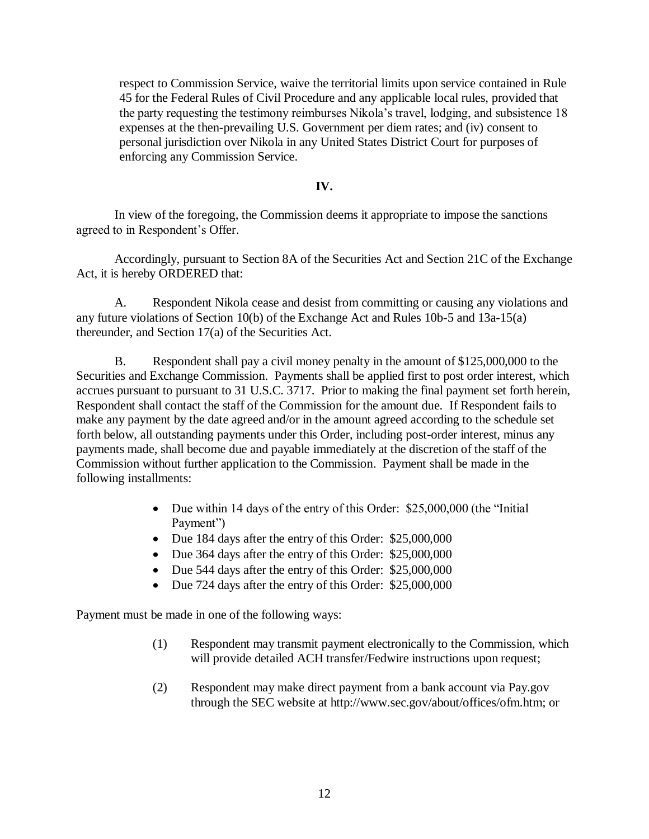respect to Commission Service, waive the territorial limits upon service contained in Rule 45 for the Federal Rules of Civil Procedure and any applicable local rules, provided that the party requesting the testimony reimburses Nikola's travel, lodging, and subsistence 18 expenses at the then-prevailing U.S. Government per diem rates; and (iv) consent to personal jurisdiction over Nikola in any United States District Court for purposes of enforcing any Commission Service.

#### **IV.**

In view of the foregoing, the Commission deems it appropriate to impose the sanctions agreed to in Respondent's Offer.

Accordingly, pursuant to Section 8A of the Securities Act and Section 21C of the Exchange Act, it is hereby ORDERED that:

A. Respondent Nikola cease and desist from committing or causing any violations and any future violations of Section 10(b) of the Exchange Act and Rules 10b-5 and 13a-15(a) thereunder, and Section 17(a) of the Securities Act.

B. Respondent shall pay a civil money penalty in the amount of \$125,000,000 to the Securities and Exchange Commission. Payments shall be applied first to post order interest, which accrues pursuant to pursuant to 31 U.S.C. 3717. Prior to making the final payment set forth herein, Respondent shall contact the staff of the Commission for the amount due. If Respondent fails to make any payment by the date agreed and/or in the amount agreed according to the schedule set forth below, all outstanding payments under this Order, including post-order interest, minus any payments made, shall become due and payable immediately at the discretion of the staff of the Commission without further application to the Commission. Payment shall be made in the following installments:

- Due within 14 days of the entry of this Order: \$25,000,000 (the "Initial Payment")
- Due 184 days after the entry of this Order: \$25,000,000
- Due 364 days after the entry of this Order: \$25,000,000
- Due 544 days after the entry of this Order: \$25,000,000
- Due 724 days after the entry of this Order: \$25,000,000

Payment must be made in one of the following ways:

- (1) Respondent may transmit payment electronically to the Commission, which will provide detailed ACH transfer/Fedwire instructions upon request;
- (2) Respondent may make direct payment from a bank account via Pay.gov through the SEC website at http://www.sec.gov/about/offices/ofm.htm; or